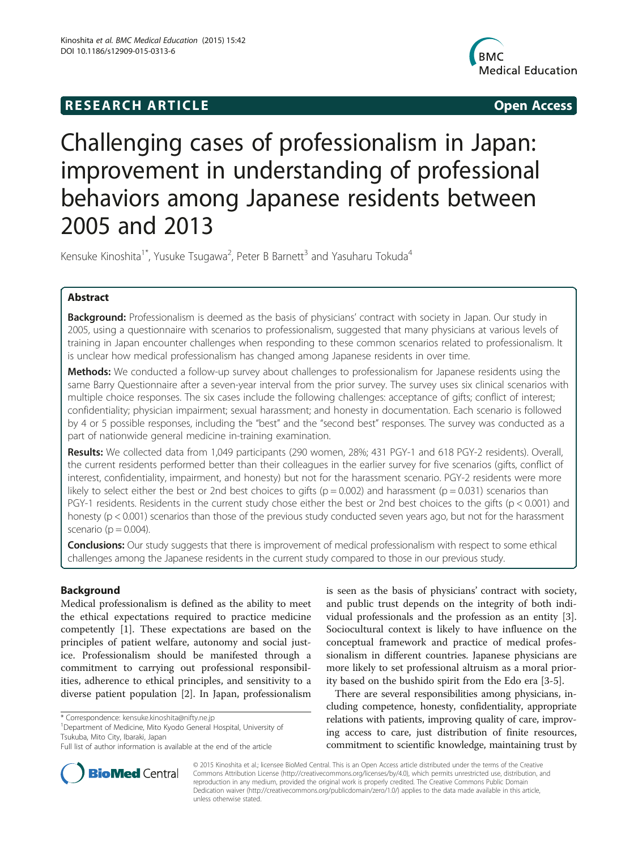# **RESEARCH ARTICLE Example 2014 12:30 The SEAR CHA RTICLE**



# Challenging cases of professionalism in Japan: improvement in understanding of professional behaviors among Japanese residents between 2005 and 2013

Kensuke Kinoshita<sup>1\*</sup>, Yusuke Tsugawa<sup>2</sup>, Peter B Barnett<sup>3</sup> and Yasuharu Tokuda<sup>4</sup>

# Abstract

Background: Professionalism is deemed as the basis of physicians' contract with society in Japan. Our study in 2005, using a questionnaire with scenarios to professionalism, suggested that many physicians at various levels of training in Japan encounter challenges when responding to these common scenarios related to professionalism. It is unclear how medical professionalism has changed among Japanese residents in over time.

Methods: We conducted a follow-up survey about challenges to professionalism for Japanese residents using the same Barry Questionnaire after a seven-year interval from the prior survey. The survey uses six clinical scenarios with multiple choice responses. The six cases include the following challenges: acceptance of gifts; conflict of interest; confidentiality; physician impairment; sexual harassment; and honesty in documentation. Each scenario is followed by 4 or 5 possible responses, including the "best" and the "second best" responses. The survey was conducted as a part of nationwide general medicine in-training examination.

Results: We collected data from 1,049 participants (290 women, 28%; 431 PGY-1 and 618 PGY-2 residents). Overall, the current residents performed better than their colleagues in the earlier survey for five scenarios (gifts, conflict of interest, confidentiality, impairment, and honesty) but not for the harassment scenario. PGY-2 residents were more likely to select either the best or 2nd best choices to gifts ( $p = 0.002$ ) and harassment ( $p = 0.031$ ) scenarios than PGY-1 residents. Residents in the current study chose either the best or 2nd best choices to the gifts (p < 0.001) and honesty (p < 0.001) scenarios than those of the previous study conducted seven years ago, but not for the harassment scenario ( $p = 0.004$ ).

**Conclusions:** Our study suggests that there is improvement of medical professionalism with respect to some ethical challenges among the Japanese residents in the current study compared to those in our previous study.

# Background

Medical professionalism is defined as the ability to meet the ethical expectations required to practice medicine competently [\[1](#page-5-0)]. These expectations are based on the principles of patient welfare, autonomy and social justice. Professionalism should be manifested through a commitment to carrying out professional responsibilities, adherence to ethical principles, and sensitivity to a diverse patient population [\[2](#page-5-0)]. In Japan, professionalism

Department of Medicine, Mito Kyodo General Hospital, University of Tsukuba, Mito City, Ibaraki, Japan

is seen as the basis of physicians' contract with society, and public trust depends on the integrity of both individual professionals and the profession as an entity [\[3](#page-5-0)]. Sociocultural context is likely to have influence on the conceptual framework and practice of medical professionalism in different countries. Japanese physicians are more likely to set professional altruism as a moral priority based on the bushido spirit from the Edo era [\[3](#page-5-0)-[5\]](#page-5-0).

There are several responsibilities among physicians, including competence, honesty, confidentiality, appropriate relations with patients, improving quality of care, improving access to care, just distribution of finite resources, commitment to scientific knowledge, maintaining trust by



© 2015 Kinoshita et al.; licensee BioMed Central. This is an Open Access article distributed under the terms of the Creative Commons Attribution License [\(http://creativecommons.org/licenses/by/4.0\)](http://creativecommons.org/licenses/by/4.0), which permits unrestricted use, distribution, and reproduction in any medium, provided the original work is properly credited. The Creative Commons Public Domain Dedication waiver [\(http://creativecommons.org/publicdomain/zero/1.0/](http://creativecommons.org/publicdomain/zero/1.0/)) applies to the data made available in this article, unless otherwise stated.

<sup>\*</sup> Correspondence: [kensuke.kinoshita@nifty.ne.jp](mailto:kensuke.kinoshita@nifty.ne.jp) <sup>1</sup>

Full list of author information is available at the end of the article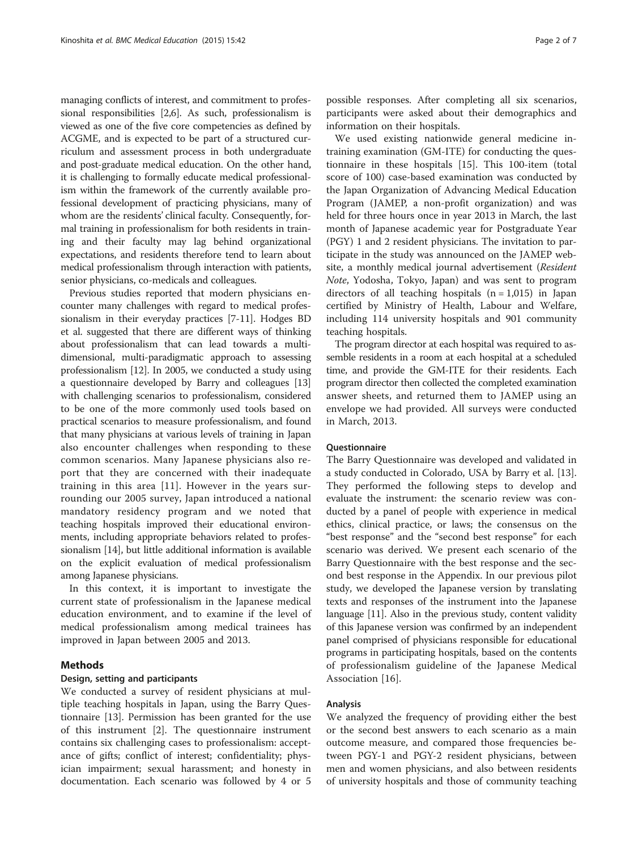managing conflicts of interest, and commitment to professional responsibilities [[2,6\]](#page-5-0). As such, professionalism is viewed as one of the five core competencies as defined by ACGME, and is expected to be part of a structured curriculum and assessment process in both undergraduate and post-graduate medical education. On the other hand, it is challenging to formally educate medical professionalism within the framework of the currently available professional development of practicing physicians, many of whom are the residents' clinical faculty. Consequently, formal training in professionalism for both residents in training and their faculty may lag behind organizational expectations, and residents therefore tend to learn about medical professionalism through interaction with patients, senior physicians, co-medicals and colleagues.

Previous studies reported that modern physicians encounter many challenges with regard to medical professionalism in their everyday practices [[7](#page-5-0)-[11](#page-5-0)]. Hodges BD et al. suggested that there are different ways of thinking about professionalism that can lead towards a multidimensional, multi-paradigmatic approach to assessing professionalism [[12](#page-5-0)]. In 2005, we conducted a study using a questionnaire developed by Barry and colleagues [[13](#page-5-0)] with challenging scenarios to professionalism, considered to be one of the more commonly used tools based on practical scenarios to measure professionalism, and found that many physicians at various levels of training in Japan also encounter challenges when responding to these common scenarios. Many Japanese physicians also report that they are concerned with their inadequate training in this area [[11\]](#page-5-0). However in the years surrounding our 2005 survey, Japan introduced a national mandatory residency program and we noted that teaching hospitals improved their educational environments, including appropriate behaviors related to professionalism [\[14\]](#page-5-0), but little additional information is available on the explicit evaluation of medical professionalism among Japanese physicians.

In this context, it is important to investigate the current state of professionalism in the Japanese medical education environment, and to examine if the level of medical professionalism among medical trainees has improved in Japan between 2005 and 2013.

#### Methods

#### Design, setting and participants

We conducted a survey of resident physicians at multiple teaching hospitals in Japan, using the Barry Questionnaire [[13](#page-5-0)]. Permission has been granted for the use of this instrument [[2\]](#page-5-0). The questionnaire instrument contains six challenging cases to professionalism: acceptance of gifts; conflict of interest; confidentiality; physician impairment; sexual harassment; and honesty in documentation. Each scenario was followed by 4 or 5

possible responses. After completing all six scenarios, participants were asked about their demographics and information on their hospitals.

We used existing nationwide general medicine intraining examination (GM-ITE) for conducting the questionnaire in these hospitals [\[15\]](#page-5-0). This 100-item (total score of 100) case-based examination was conducted by the Japan Organization of Advancing Medical Education Program (JAMEP, a non-profit organization) and was held for three hours once in year 2013 in March, the last month of Japanese academic year for Postgraduate Year (PGY) 1 and 2 resident physicians. The invitation to participate in the study was announced on the JAMEP website, a monthly medical journal advertisement (Resident Note, Yodosha, Tokyo, Japan) and was sent to program directors of all teaching hospitals  $(n = 1,015)$  in Japan certified by Ministry of Health, Labour and Welfare, including 114 university hospitals and 901 community teaching hospitals.

The program director at each hospital was required to assemble residents in a room at each hospital at a scheduled time, and provide the GM-ITE for their residents. Each program director then collected the completed examination answer sheets, and returned them to JAMEP using an envelope we had provided. All surveys were conducted in March, 2013.

#### Questionnaire

The Barry Questionnaire was developed and validated in a study conducted in Colorado, USA by Barry et al. [\[13](#page-5-0)]. They performed the following steps to develop and evaluate the instrument: the scenario review was conducted by a panel of people with experience in medical ethics, clinical practice, or laws; the consensus on the "best response" and the "second best response" for each scenario was derived. We present each scenario of the Barry Questionnaire with the best response and the second best response in the Appendix. In our previous pilot study, we developed the Japanese version by translating texts and responses of the instrument into the Japanese language [\[11\]](#page-5-0). Also in the previous study, content validity of this Japanese version was confirmed by an independent panel comprised of physicians responsible for educational programs in participating hospitals, based on the contents of professionalism guideline of the Japanese Medical Association [\[16](#page-5-0)].

#### Analysis

We analyzed the frequency of providing either the best or the second best answers to each scenario as a main outcome measure, and compared those frequencies between PGY-1 and PGY-2 resident physicians, between men and women physicians, and also between residents of university hospitals and those of community teaching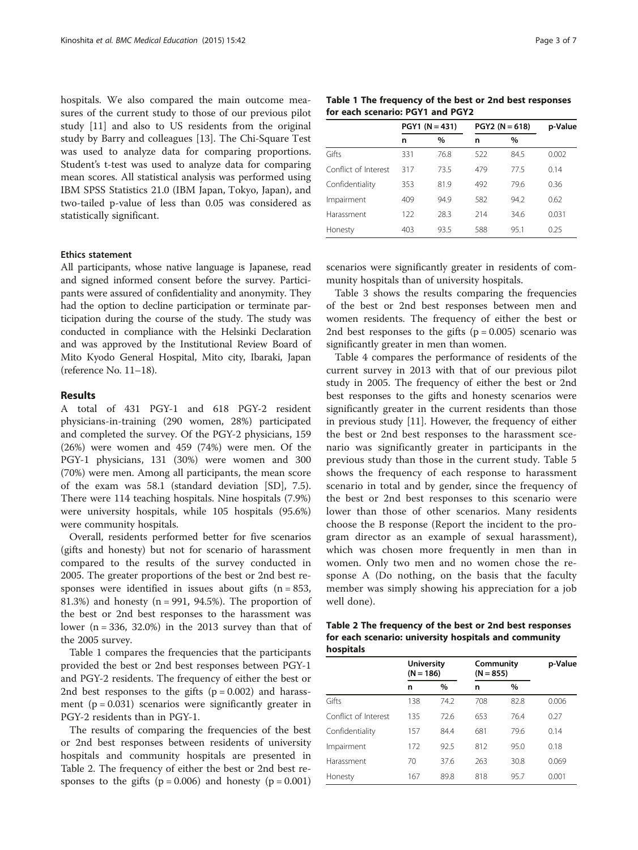hospitals. We also compared the main outcome measures of the current study to those of our previous pilot study [[11](#page-5-0)] and also to US residents from the original study by Barry and colleagues [\[13](#page-5-0)]. The Chi-Square Test was used to analyze data for comparing proportions. Student's t-test was used to analyze data for comparing mean scores. All statistical analysis was performed using IBM SPSS Statistics 21.0 (IBM Japan, Tokyo, Japan), and two-tailed p-value of less than 0.05 was considered as statistically significant.

#### Ethics statement

All participants, whose native language is Japanese, read and signed informed consent before the survey. Participants were assured of confidentiality and anonymity. They had the option to decline participation or terminate participation during the course of the study. The study was conducted in compliance with the Helsinki Declaration and was approved by the Institutional Review Board of Mito Kyodo General Hospital, Mito city, Ibaraki, Japan (reference No. 11–18).

#### Results

A total of 431 PGY-1 and 618 PGY-2 resident physicians-in-training (290 women, 28%) participated and completed the survey. Of the PGY-2 physicians, 159 (26%) were women and 459 (74%) were men. Of the PGY-1 physicians, 131 (30%) were women and 300 (70%) were men. Among all participants, the mean score of the exam was 58.1 (standard deviation [SD], 7.5). There were 114 teaching hospitals. Nine hospitals (7.9%) were university hospitals, while 105 hospitals (95.6%) were community hospitals.

Overall, residents performed better for five scenarios (gifts and honesty) but not for scenario of harassment compared to the results of the survey conducted in 2005. The greater proportions of the best or 2nd best responses were identified in issues about gifts  $(n = 853,$ 81.3%) and honesty ( $n = 991, 94.5%$ ). The proportion of the best or 2nd best responses to the harassment was lower  $(n = 336, 32.0%)$  in the 2013 survey than that of the 2005 survey.

Table 1 compares the frequencies that the participants provided the best or 2nd best responses between PGY-1 and PGY-2 residents. The frequency of either the best or 2nd best responses to the gifts  $(p = 0.002)$  and harassment ( $p = 0.031$ ) scenarios were significantly greater in PGY-2 residents than in PGY-1.

The results of comparing the frequencies of the best or 2nd best responses between residents of university hospitals and community hospitals are presented in Table 2. The frequency of either the best or 2nd best responses to the gifts  $(p = 0.006)$  and honesty  $(p = 0.001)$ 

Table 1 The frequency of the best or 2nd best responses for each scenario: PGY1 and PGY2

|                      | $PGY1 (N = 431)$ |      | $PGY2 (N = 618)$ | p-Value |       |
|----------------------|------------------|------|------------------|---------|-------|
|                      | n                | $\%$ | n                | %       |       |
| Gifts                | 331              | 76.8 | 522              | 84.5    | 0.002 |
| Conflict of Interest | 317              | 73.5 | 479              | 775     | 0.14  |
| Confidentiality      | 353              | 81.9 | 492              | 79.6    | 0.36  |
| Impairment           | 409              | 94.9 | 582              | 94.2    | 0.62  |
| Harassment           | 122              | 28.3 | 214              | 34.6    | 0.031 |
| Honesty              | 403              | 93.5 | 588              | 95.1    | 0.25  |

scenarios were significantly greater in residents of community hospitals than of university hospitals.

Table [3](#page-3-0) shows the results comparing the frequencies of the best or 2nd best responses between men and women residents. The frequency of either the best or 2nd best responses to the gifts  $(p = 0.005)$  scenario was significantly greater in men than women.

Table [4](#page-3-0) compares the performance of residents of the current survey in 2013 with that of our previous pilot study in 2005. The frequency of either the best or 2nd best responses to the gifts and honesty scenarios were significantly greater in the current residents than those in previous study [\[11\]](#page-5-0). However, the frequency of either the best or 2nd best responses to the harassment scenario was significantly greater in participants in the previous study than those in the current study. Table [5](#page-3-0) shows the frequency of each response to harassment scenario in total and by gender, since the frequency of the best or 2nd best responses to this scenario were lower than those of other scenarios. Many residents choose the B response (Report the incident to the program director as an example of sexual harassment), which was chosen more frequently in men than in women. Only two men and no women chose the response A (Do nothing, on the basis that the faculty member was simply showing his appreciation for a job well done).

| Table 2 The frequency of the best or 2nd best responses |
|---------------------------------------------------------|
| for each scenario: university hospitals and community   |
| hospitals                                               |

|                      | <b>University</b><br>$(N = 186)$ |      | Community<br>$(N = 855)$ | p-Value |       |
|----------------------|----------------------------------|------|--------------------------|---------|-------|
|                      | n                                | $\%$ | n                        | $\%$    |       |
| Gifts                | 138                              | 74.2 | 708                      | 82.8    | 0.006 |
| Conflict of Interest | 135                              | 72.6 | 653                      | 76.4    | 0.27  |
| Confidentiality      | 157                              | 84.4 | 681                      | 79.6    | 0.14  |
| Impairment           | 172                              | 92.5 | 812                      | 95.0    | 0.18  |
| Harassment           | 70                               | 37.6 | 263                      | 30.8    | 0.069 |
| Honesty              | 167                              | 89.8 | 818                      | 95.7    | 0.001 |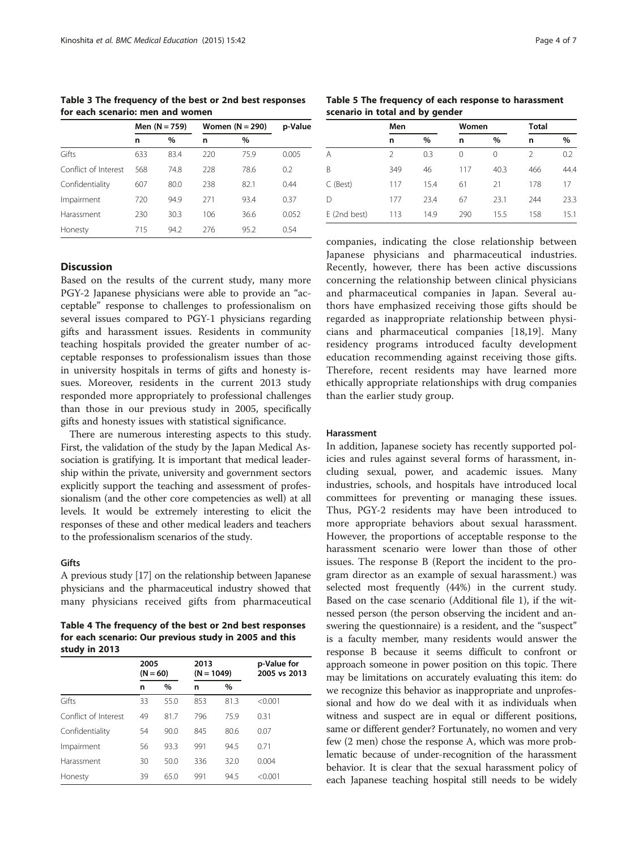<span id="page-3-0"></span>Table 3 The frequency of the best or 2nd best responses for each scenario: men and women

|                      | Men (N = 759) |      | Women $(N = 290)$ | p-Value |       |
|----------------------|---------------|------|-------------------|---------|-------|
|                      | n             | $\%$ | n                 | $\%$    |       |
| Gifts                | 633           | 83.4 | 220               | 75.9    | 0.005 |
| Conflict of Interest | 568           | 74.8 | 228               | 78.6    | 0.2   |
| Confidentiality      | 607           | 80.0 | 238               | 82.1    | 0.44  |
| Impairment           | 720           | 94.9 | 271               | 93.4    | 0.37  |
| Harassment           | 230           | 30.3 | 106               | 36.6    | 0.052 |
| Honesty              | 715           | 94.2 | 276               | 95.2    | 0.54  |

# **Discussion**

Based on the results of the current study, many more PGY-2 Japanese physicians were able to provide an "acceptable" response to challenges to professionalism on several issues compared to PGY-1 physicians regarding gifts and harassment issues. Residents in community teaching hospitals provided the greater number of acceptable responses to professionalism issues than those in university hospitals in terms of gifts and honesty issues. Moreover, residents in the current 2013 study responded more appropriately to professional challenges than those in our previous study in 2005, specifically gifts and honesty issues with statistical significance.

There are numerous interesting aspects to this study. First, the validation of the study by the Japan Medical Association is gratifying. It is important that medical leadership within the private, university and government sectors explicitly support the teaching and assessment of professionalism (and the other core competencies as well) at all levels. It would be extremely interesting to elicit the responses of these and other medical leaders and teachers to the professionalism scenarios of the study.

#### Gifts

A previous study [\[17\]](#page-6-0) on the relationship between Japanese physicians and the pharmaceutical industry showed that many physicians received gifts from pharmaceutical

Table 4 The frequency of the best or 2nd best responses for each scenario: Our previous study in 2005 and this study in 2013

|                      | 2005<br>$(N = 60)$ |      | 2013<br>$(N = 1049)$ |      | p-Value for<br>2005 vs 2013 |  |
|----------------------|--------------------|------|----------------------|------|-----------------------------|--|
|                      | n                  | $\%$ | n                    | %    |                             |  |
| Gifts                | 33                 | 55.0 | 853                  | 81.3 | < 0.001                     |  |
| Conflict of Interest | 49                 | 81.7 | 796                  | 75.9 | 0.31                        |  |
| Confidentiality      | 54                 | 90.0 | 845                  | 80.6 | 0.07                        |  |
| Impairment           | 56                 | 93.3 | 991                  | 94.5 | 0.71                        |  |
| Harassment           | 30                 | 50.0 | 336                  | 32.0 | 0.004                       |  |
| Honesty              | 39                 | 65.0 | 991                  | 94.5 | < 0.001                     |  |

Table 5 The frequency of each response to harassment scenario in total and by gender

|              | Men |      | Women |      | <b>Total</b>  |      |
|--------------|-----|------|-------|------|---------------|------|
|              | n   | $\%$ | n     | $\%$ | n             | %    |
| A            | 2   | 0.3  | 0     | 0    | $\mathcal{P}$ | 0.2  |
| B            | 349 | 46   | 117   | 40.3 | 466           | 44.4 |
| C (Best)     | 117 | 15.4 | 61    | 21   | 178           | 17   |
| D            | 177 | 23.4 | 67    | 23.1 | 244           | 23.3 |
| E (2nd best) | 113 | 14.9 | 290   | 15.5 | 158           | 15.1 |

companies, indicating the close relationship between Japanese physicians and pharmaceutical industries. Recently, however, there has been active discussions concerning the relationship between clinical physicians and pharmaceutical companies in Japan. Several authors have emphasized receiving those gifts should be regarded as inappropriate relationship between physicians and pharmaceutical companies [\[18,19\]](#page-6-0). Many residency programs introduced faculty development education recommending against receiving those gifts. Therefore, recent residents may have learned more ethically appropriate relationships with drug companies than the earlier study group.

#### Harassment

In addition, Japanese society has recently supported policies and rules against several forms of harassment, including sexual, power, and academic issues. Many industries, schools, and hospitals have introduced local committees for preventing or managing these issues. Thus, PGY-2 residents may have been introduced to more appropriate behaviors about sexual harassment. However, the proportions of acceptable response to the harassment scenario were lower than those of other issues. The response B (Report the incident to the program director as an example of sexual harassment.) was selected most frequently (44%) in the current study. Based on the case scenario (Additional file [1\)](#page-5-0), if the witnessed person (the person observing the incident and answering the questionnaire) is a resident, and the "suspect" is a faculty member, many residents would answer the response B because it seems difficult to confront or approach someone in power position on this topic. There may be limitations on accurately evaluating this item: do we recognize this behavior as inappropriate and unprofessional and how do we deal with it as individuals when witness and suspect are in equal or different positions, same or different gender? Fortunately, no women and very few (2 men) chose the response A, which was more problematic because of under-recognition of the harassment behavior. It is clear that the sexual harassment policy of each Japanese teaching hospital still needs to be widely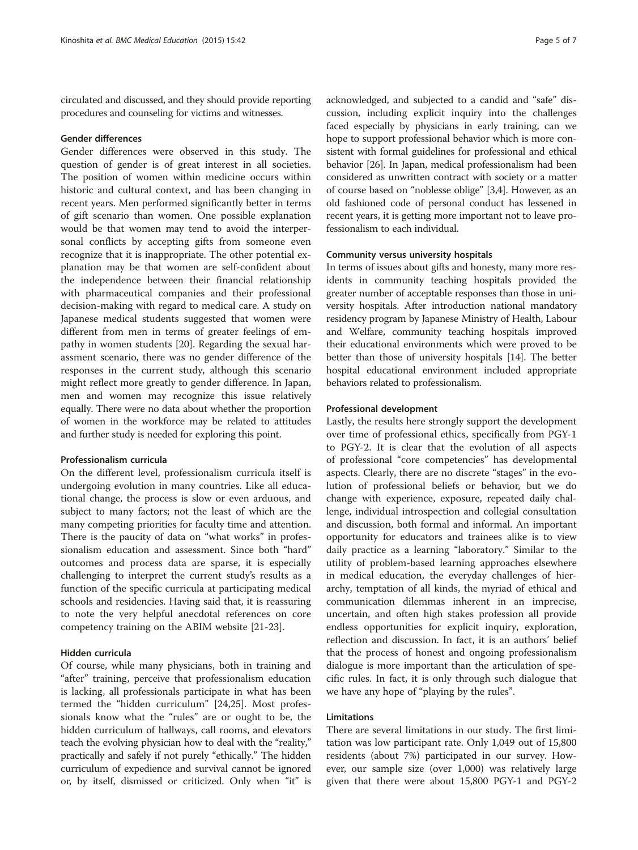circulated and discussed, and they should provide reporting procedures and counseling for victims and witnesses.

### Gender differences

Gender differences were observed in this study. The question of gender is of great interest in all societies. The position of women within medicine occurs within historic and cultural context, and has been changing in recent years. Men performed significantly better in terms of gift scenario than women. One possible explanation would be that women may tend to avoid the interpersonal conflicts by accepting gifts from someone even recognize that it is inappropriate. The other potential explanation may be that women are self-confident about the independence between their financial relationship with pharmaceutical companies and their professional decision-making with regard to medical care. A study on Japanese medical students suggested that women were different from men in terms of greater feelings of empathy in women students [[20\]](#page-6-0). Regarding the sexual harassment scenario, there was no gender difference of the responses in the current study, although this scenario might reflect more greatly to gender difference. In Japan, men and women may recognize this issue relatively equally. There were no data about whether the proportion of women in the workforce may be related to attitudes and further study is needed for exploring this point.

#### Professionalism curricula

On the different level, professionalism curricula itself is undergoing evolution in many countries. Like all educational change, the process is slow or even arduous, and subject to many factors; not the least of which are the many competing priorities for faculty time and attention. There is the paucity of data on "what works" in professionalism education and assessment. Since both "hard" outcomes and process data are sparse, it is especially challenging to interpret the current study's results as a function of the specific curricula at participating medical schools and residencies. Having said that, it is reassuring to note the very helpful anecdotal references on core competency training on the ABIM website [\[21](#page-6-0)-[23\]](#page-6-0).

#### Hidden curricula

Of course, while many physicians, both in training and "after" training, perceive that professionalism education is lacking, all professionals participate in what has been termed the "hidden curriculum" [\[24,25\]](#page-6-0). Most professionals know what the "rules" are or ought to be, the hidden curriculum of hallways, call rooms, and elevators teach the evolving physician how to deal with the "reality," practically and safely if not purely "ethically." The hidden curriculum of expedience and survival cannot be ignored or, by itself, dismissed or criticized. Only when "it" is

acknowledged, and subjected to a candid and "safe" discussion, including explicit inquiry into the challenges faced especially by physicians in early training, can we hope to support professional behavior which is more consistent with formal guidelines for professional and ethical behavior [\[26\]](#page-6-0). In Japan, medical professionalism had been considered as unwritten contract with society or a matter of course based on "noblesse oblige" [[3,4](#page-5-0)]. However, as an old fashioned code of personal conduct has lessened in recent years, it is getting more important not to leave professionalism to each individual.

#### Community versus university hospitals

In terms of issues about gifts and honesty, many more residents in community teaching hospitals provided the greater number of acceptable responses than those in university hospitals. After introduction national mandatory residency program by Japanese Ministry of Health, Labour and Welfare, community teaching hospitals improved their educational environments which were proved to be better than those of university hospitals [\[14\]](#page-5-0). The better hospital educational environment included appropriate behaviors related to professionalism.

#### Professional development

Lastly, the results here strongly support the development over time of professional ethics, specifically from PGY-1 to PGY-2. It is clear that the evolution of all aspects of professional "core competencies" has developmental aspects. Clearly, there are no discrete "stages" in the evolution of professional beliefs or behavior, but we do change with experience, exposure, repeated daily challenge, individual introspection and collegial consultation and discussion, both formal and informal. An important opportunity for educators and trainees alike is to view daily practice as a learning "laboratory." Similar to the utility of problem-based learning approaches elsewhere in medical education, the everyday challenges of hierarchy, temptation of all kinds, the myriad of ethical and communication dilemmas inherent in an imprecise, uncertain, and often high stakes profession all provide endless opportunities for explicit inquiry, exploration, reflection and discussion. In fact, it is an authors' belief that the process of honest and ongoing professionalism dialogue is more important than the articulation of specific rules. In fact, it is only through such dialogue that we have any hope of "playing by the rules".

#### Limitations

There are several limitations in our study. The first limitation was low participant rate. Only 1,049 out of 15,800 residents (about 7%) participated in our survey. However, our sample size (over 1,000) was relatively large given that there were about 15,800 PGY-1 and PGY-2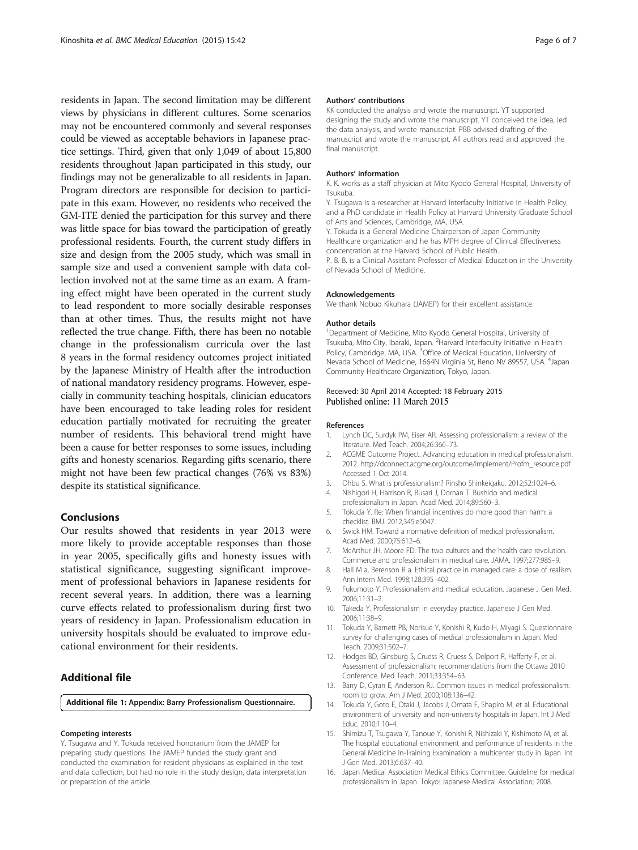<span id="page-5-0"></span>residents in Japan. The second limitation may be different views by physicians in different cultures. Some scenarios may not be encountered commonly and several responses could be viewed as acceptable behaviors in Japanese practice settings. Third, given that only 1,049 of about 15,800 residents throughout Japan participated in this study, our findings may not be generalizable to all residents in Japan. Program directors are responsible for decision to participate in this exam. However, no residents who received the GM-ITE denied the participation for this survey and there was little space for bias toward the participation of greatly professional residents. Fourth, the current study differs in size and design from the 2005 study, which was small in sample size and used a convenient sample with data collection involved not at the same time as an exam. A framing effect might have been operated in the current study to lead respondent to more socially desirable responses than at other times. Thus, the results might not have reflected the true change. Fifth, there has been no notable change in the professionalism curricula over the last 8 years in the formal residency outcomes project initiated by the Japanese Ministry of Health after the introduction of national mandatory residency programs. However, especially in community teaching hospitals, clinician educators have been encouraged to take leading roles for resident education partially motivated for recruiting the greater number of residents. This behavioral trend might have been a cause for better responses to some issues, including gifts and honesty scenarios. Regarding gifts scenario, there might not have been few practical changes (76% vs 83%) despite its statistical significance.

#### Conclusions

Our results showed that residents in year 2013 were more likely to provide acceptable responses than those in year 2005, specifically gifts and honesty issues with statistical significance, suggesting significant improvement of professional behaviors in Japanese residents for recent several years. In addition, there was a learning curve effects related to professionalism during first two years of residency in Japan. Professionalism education in university hospitals should be evaluated to improve educational environment for their residents.

## Additional file

[Additional file 1:](http://www.biomedcentral.com/content/supplementary/s12909-015-0313-6-s1.doc) Appendix: Barry Professionalism Questionnaire.

#### Competing interests

Y. Tsugawa and Y. Tokuda received honorarium from the JAMEP for preparing study questions. The JAMEP funded the study grant and conducted the examination for resident physicians as explained in the text and data collection, but had no role in the study design, data interpretation or preparation of the article.

#### Authors' contributions

KK conducted the analysis and wrote the manuscript. YT supported designing the study and wrote the manuscript. YT conceived the idea, led the data analysis, and wrote manuscript. PBB advised drafting of the manuscript and wrote the manuscript. All authors read and approved the final manuscript.

#### Authors' information

K. K. works as a staff physician at Mito Kyodo General Hospital, University of Tsukuba.

Y. Tsugawa is a researcher at Harvard Interfaculty Initiative in Health Policy, and a PhD candidate in Health Policy at Harvard University Graduate School of Arts and Sciences, Cambridge, MA, USA.

Y. Tokuda is a General Medicine Chairperson of Japan Community Healthcare organization and he has MPH degree of Clinical Effectiveness concentration at the Harvard School of Public Health.

P. B. B. is a Clinical Assistant Professor of Medical Education in the University of Nevada School of Medicine.

#### Acknowledgements

We thank Nobuo Kikuhara (JAMEP) for their excellent assistance.

#### Author details

<sup>1</sup>Department of Medicine, Mito Kyodo General Hospital, University of Tsukuba, Mito City, Ibaraki, Japan. <sup>2</sup> Harvard Interfaculty Initiative in Health Policy, Cambridge, MA, USA. <sup>3</sup>Office of Medical Education, University of Nevada School of Medicine, 1664N Virginia St, Reno NV 89557, USA. <sup>4</sup>Japan Community Healthcare Organization, Tokyo, Japan.

#### Received: 30 April 2014 Accepted: 18 February 2015 Published online: 11 March 2015

#### References

- 1. Lynch DC, Surdyk PM, Eiser AR. Assessing professionalism: a review of the literature. Med Teach. 2004;26:366–73.
- 2. ACGME Outcome Project. Advancing education in medical professionalism. 2012. [http://dconnect.acgme.org/outcome/implement/Profm\\_resource.pdf](http://dconnect.acgme.org/outcome/implement/Profm_resource.pdf) Accessed 1 Oct 2014.
- 3. Ohbu S. What is professionalism? Rinsho Shinkeigaku. 2012;52:1024–6.
- 4. Nishigori H, Harrison R, Busari J, Dornan T. Bushido and medical professionalism in Japan. Acad Med. 2014;89:560–3.
- 5. Tokuda Y. Re: When financial incentives do more good than harm: a checklist. BMJ. 2012;345:e5047.
- 6. Swick HM. Toward a normative definition of medical professionalism. Acad Med. 2000;75:612–6.
- 7. McArthur JH, Moore FD. The two cultures and the health care revolution. Commerce and professionalism in medical care. JAMA. 1997;277:985–9.
- 8. Hall M a, Berenson R a. Ethical practice in managed care: a dose of realism. Ann Intern Med. 1998;128:395–402.
- 9. Fukumoto Y. Professionalism and medical education. Japanese J Gen Med. 2006;11:31–2.
- 10. Takeda Y. Professionalism in everyday practice. Japanese J Gen Med. 2006;11:38–9.
- 11. Tokuda Y, Barnett PB, Norisue Y, Konishi R, Kudo H, Miyagi S. Questionnaire survey for challenging cases of medical professionalism in Japan. Med Teach. 2009;31:502–7.
- 12. Hodges BD, Ginsburg S, Cruess R, Cruess S, Delport R, Hafferty F, et al. Assessment of professionalism: recommendations from the Ottawa 2010 Conference. Med Teach. 2011;33:354–63.
- 13. Barry D, Cyran E, Anderson RJ. Common issues in medical professionalism: room to grow. Am J Med. 2000;108:136–42.
- 14. Tokuda Y, Goto E, Otaki J, Jacobs J, Omata F, Shapiro M, et al. Educational environment of university and non-university hospitals in Japan. Int J Med Educ. 2010;1:10–4.
- 15. Shimizu T, Tsugawa Y, Tanoue Y, Konishi R, Nishizaki Y, Kishimoto M, et al. The hospital educational environment and performance of residents in the General Medicine In-Training Examination: a multicenter study in Japan. Int J Gen Med. 2013;6:637–40.
- 16. Japan Medical Association Medical Ethics Committee. Guideline for medical professionalism in Japan. Tokyo: Japanese Medical Association; 2008.